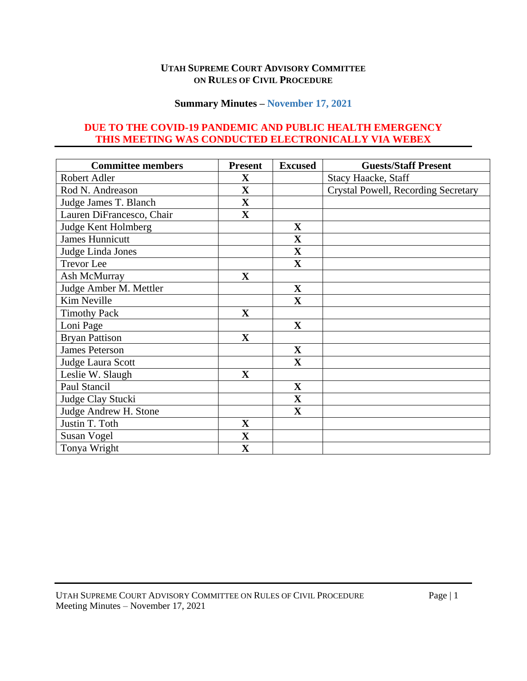#### **UTAH SUPREME COURT ADVISORY COMMITTEE ON RULES OF CIVIL PROCEDURE**

### **Summary Minutes – November 17, 2021**

## **DUE TO THE COVID-19 PANDEMIC AND PUBLIC HEALTH EMERGENCY THIS MEETING WAS CONDUCTED ELECTRONICALLY VIA WEBEX**

| <b>Committee members</b>  | <b>Present</b> | <b>Excused</b>          | <b>Guests/Staff Present</b>                |
|---------------------------|----------------|-------------------------|--------------------------------------------|
| Robert Adler              | $\mathbf X$    |                         | <b>Stacy Haacke, Staff</b>                 |
| Rod N. Andreason          | $\mathbf X$    |                         | <b>Crystal Powell, Recording Secretary</b> |
| Judge James T. Blanch     | $\mathbf X$    |                         |                                            |
| Lauren DiFrancesco, Chair | $\mathbf X$    |                         |                                            |
| Judge Kent Holmberg       |                | $\mathbf X$             |                                            |
| <b>James Hunnicutt</b>    |                | $\overline{\mathbf{X}}$ |                                            |
| Judge Linda Jones         |                | $\mathbf X$             |                                            |
| <b>Trevor</b> Lee         |                | $\mathbf X$             |                                            |
| Ash McMurray              | $\mathbf{X}$   |                         |                                            |
| Judge Amber M. Mettler    |                | $\mathbf X$             |                                            |
| Kim Neville               |                | $\mathbf X$             |                                            |
| <b>Timothy Pack</b>       | $\mathbf X$    |                         |                                            |
| Loni Page                 |                | $\mathbf{X}$            |                                            |
| <b>Bryan Pattison</b>     | $\mathbf X$    |                         |                                            |
| <b>James Peterson</b>     |                | $\mathbf{X}$            |                                            |
| Judge Laura Scott         |                | $\mathbf X$             |                                            |
| Leslie W. Slaugh          | $\mathbf{X}$   |                         |                                            |
| Paul Stancil              |                | $\mathbf X$             |                                            |
| Judge Clay Stucki         |                | $\mathbf{X}$            |                                            |
| Judge Andrew H. Stone     |                | $\mathbf X$             |                                            |
| Justin T. Toth            | $\mathbf X$    |                         |                                            |
| <b>Susan Vogel</b>        | $\mathbf{X}$   |                         |                                            |
| Tonya Wright              | $\mathbf X$    |                         |                                            |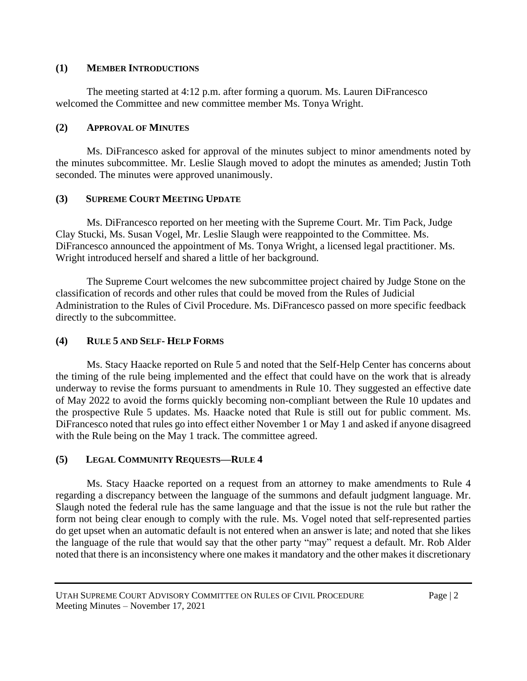#### **(1) MEMBER INTRODUCTIONS**

The meeting started at 4:12 p.m. after forming a quorum. Ms. Lauren DiFrancesco welcomed the Committee and new committee member Ms. Tonya Wright.

## **(2) APPROVAL OF MINUTES**

Ms. DiFrancesco asked for approval of the minutes subject to minor amendments noted by the minutes subcommittee. Mr. Leslie Slaugh moved to adopt the minutes as amended; Justin Toth seconded. The minutes were approved unanimously.

# **(3) SUPREME COURT MEETING UPDATE**

Ms. DiFrancesco reported on her meeting with the Supreme Court. Mr. Tim Pack, Judge Clay Stucki, Ms. Susan Vogel, Mr. Leslie Slaugh were reappointed to the Committee. Ms. DiFrancesco announced the appointment of Ms. Tonya Wright, a licensed legal practitioner. Ms. Wright introduced herself and shared a little of her background.

The Supreme Court welcomes the new subcommittee project chaired by Judge Stone on the classification of records and other rules that could be moved from the Rules of Judicial Administration to the Rules of Civil Procedure. Ms. DiFrancesco passed on more specific feedback directly to the subcommittee.

# **(4) RULE 5 AND SELF- HELP FORMS**

Ms. Stacy Haacke reported on Rule 5 and noted that the Self-Help Center has concerns about the timing of the rule being implemented and the effect that could have on the work that is already underway to revise the forms pursuant to amendments in Rule 10. They suggested an effective date of May 2022 to avoid the forms quickly becoming non-compliant between the Rule 10 updates and the prospective Rule 5 updates. Ms. Haacke noted that Rule is still out for public comment. Ms. DiFrancesco noted that rules go into effect either November 1 or May 1 and asked if anyone disagreed with the Rule being on the May 1 track. The committee agreed.

# **(5) LEGAL COMMUNITY REQUESTS—RULE 4**

Ms. Stacy Haacke reported on a request from an attorney to make amendments to Rule 4 regarding a discrepancy between the language of the summons and default judgment language. Mr. Slaugh noted the federal rule has the same language and that the issue is not the rule but rather the form not being clear enough to comply with the rule. Ms. Vogel noted that self-represented parties do get upset when an automatic default is not entered when an answer is late; and noted that she likes the language of the rule that would say that the other party "may" request a default. Mr. Rob Alder noted that there is an inconsistency where one makes it mandatory and the other makes it discretionary